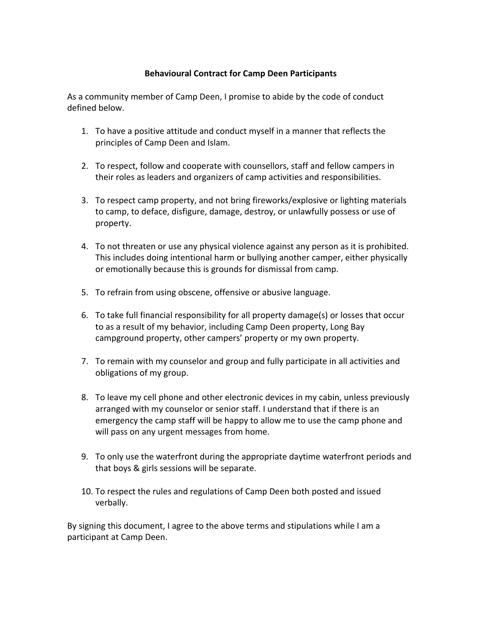## **Behavioural Contract for Camp Deen Participants**

As a community member of Camp Deen, I promise to abide by the code of conduct defined below.

- 1. To have a positive attitude and conduct myself in a manner that reflects the principles of Camp Deen and Islam.
- 2. To respect, follow and cooperate with counsellors, staff and fellow campers in their roles as leaders and organizers of camp activities and responsibilities.
- 3. To respect camp property, and not bring fireworks/explosive or lighting materials to camp, to deface, disfigure, damage, destroy, or unlawfully possess or use of property.
- 4. To not threaten or use any physical violence against any person as it is prohibited. This includes doing intentional harm or bullying another camper, either physically or emotionally because this is grounds for dismissal from camp.
- 5. To refrain from using obscene, offensive or abusive language.
- 6. To take full financial responsibility for all property damage(s) or losses that occur to as a result of my behavior, including Camp Deen property, Long Bay campground property, other campers' property or my own property.
- 7. To remain with my counselor and group and fully participate in all activities and obligations of my group.
- 8. To leave my cell phone and other electronic devices in my cabin, unless previously arranged with my counselor or senior staff. I understand that if there is an emergency the camp staff will be happy to allow me to use the camp phone and will pass on any urgent messages from home.
- 9. To only use the waterfront during the appropriate daytime waterfront periods and that boys & girls sessions will be separate.
- 10. To respect the rules and regulations of Camp Deen both posted and issued verbally.

By signing this document, I agree to the above terms and stipulations while I am a participant at Camp Deen.